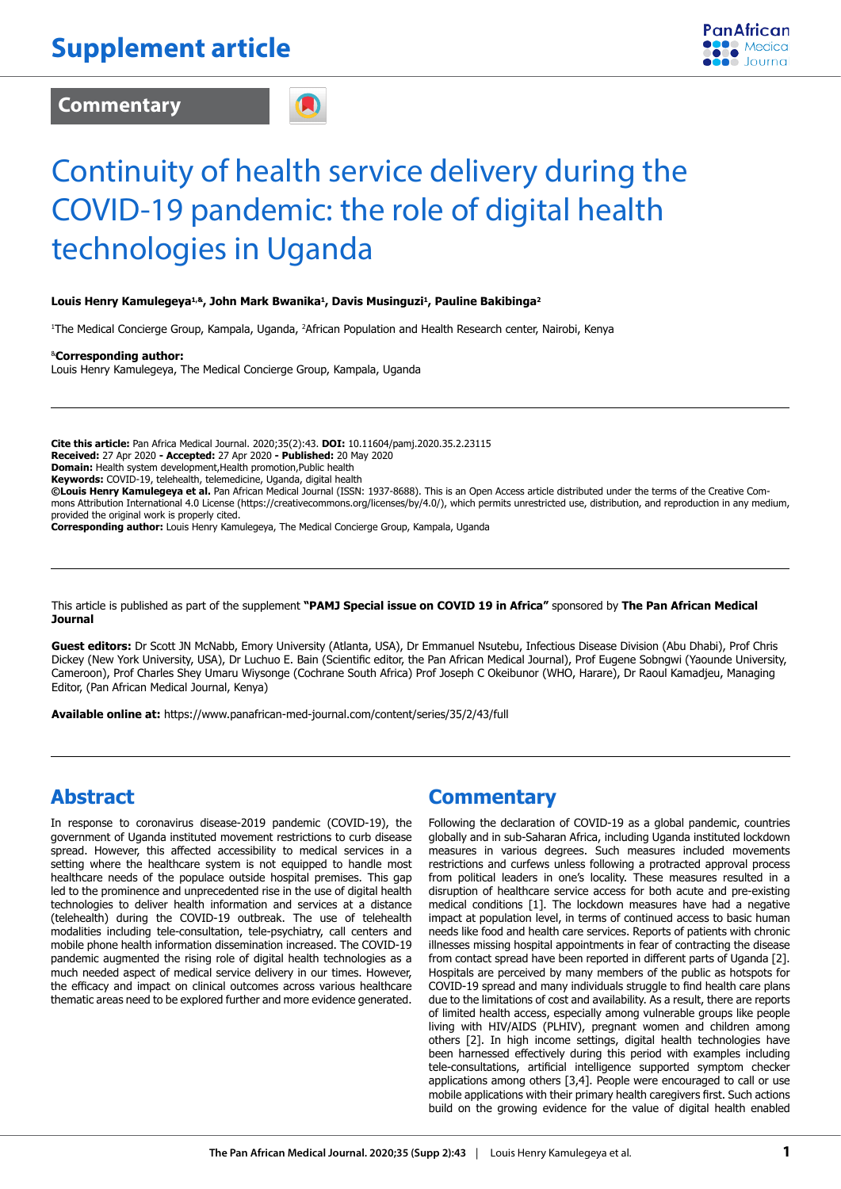**Commentary**



# Continuity of health service delivery during the COVID-19 pandemic: the role of digital health technologies in Uganda

#### **Louis Henry Kamulegeya1,&, John Mark Bwanika1, Davis Musinguzi1, Pauline Bakibinga2**

1 The Medical Concierge Group, Kampala, Uganda, 2 African Population and Health Research center, Nairobi, Kenya

&**Corresponding author:** 

Louis Henry Kamulegeya, The Medical Concierge Group, Kampala, Uganda

**Cite this article:** Pan Africa Medical Journal. 2020;35(2):43. **DOI:** 10.11604/pamj.2020.35.2.23115 **Received:** 27 Apr 2020 **- Accepted:** 27 Apr 2020 **- Published:** 20 May 2020 **Domain:** Health system development,Health promotion,Public health **Keywords:** COVID-19, telehealth, telemedicine, Uganda, digital health **©Louis Henry Kamulegeya et al.** Pan African Medical Journal (ISSN: 1937-8688). This is an Open Access article distributed under the terms of the Creative Commons Attribution International 4.0 License (https://creativecommons.org/licenses/by/4.0/), which permits unrestricted use, distribution, and reproduction in any medium, provided the original work is properly cited.

**Corresponding author:** Louis Henry Kamulegeya, The Medical Concierge Group, Kampala, Uganda

This article is published as part of the supplement **"PAMJ Special issue on COVID 19 in Africa"** sponsored by **The Pan African Medical Journal**

**Guest editors:** Dr Scott JN McNabb, Emory University (Atlanta, USA), Dr Emmanuel Nsutebu, Infectious Disease Division (Abu Dhabi), Prof Chris Dickey (New York University, USA), Dr Luchuo E. Bain (Scientific editor, the Pan African Medical Journal), Prof Eugene Sobngwi (Yaounde University, Cameroon), Prof Charles Shey Umaru Wiysonge (Cochrane South Africa) Prof Joseph C Okeibunor (WHO, Harare), Dr Raoul Kamadjeu, Managing Editor, (Pan African Medical Journal, Kenya)

**Available online at:** https://www.panafrican-med-journal.com/content/series/35/2/43/full

### **Abstract**

In response to coronavirus disease-2019 pandemic (COVID-19), the government of Uganda instituted movement restrictions to curb disease spread. However, this affected accessibility to medical services in a setting where the healthcare system is not equipped to handle most healthcare needs of the populace outside hospital premises. This gap led to the prominence and unprecedented rise in the use of digital health technologies to deliver health information and services at a distance (telehealth) during the COVID-19 outbreak. The use of telehealth modalities including tele-consultation, tele-psychiatry, call centers and mobile phone health information dissemination increased. The COVID-19 pandemic augmented the rising role of digital health technologies as a much needed aspect of medical service delivery in our times. However, the efficacy and impact on clinical outcomes across various healthcare thematic areas need to be explored further and more evidence generated.

### **Commentary**

Following the declaration of COVID-19 as a global pandemic, countries globally and in sub-Saharan Africa, including Uganda instituted lockdown measures in various degrees. Such measures included movements restrictions and curfews unless following a protracted approval process from political leaders in one's locality. These measures resulted in a disruption of healthcare service access for both acute and pre-existing medical conditions [1]. The lockdown measures have had a negative impact at population level, in terms of continued access to basic human needs like food and health care services. Reports of patients with chronic illnesses missing hospital appointments in fear of contracting the disease from contact spread have been reported in different parts of Uganda [2]. Hospitals are perceived by many members of the public as hotspots for COVID-19 spread and many individuals struggle to find health care plans due to the limitations of cost and availability. As a result, there are reports of limited health access, especially among vulnerable groups like people living with HIV/AIDS (PLHIV), pregnant women and children among others [2]. In high income settings, digital health technologies have been harnessed effectively during this period with examples including tele-consultations, artificial intelligence supported symptom checker applications among others [3,4]. People were encouraged to call or use mobile applications with their primary health caregivers first. Such actions build on the growing evidence for the value of digital health enabled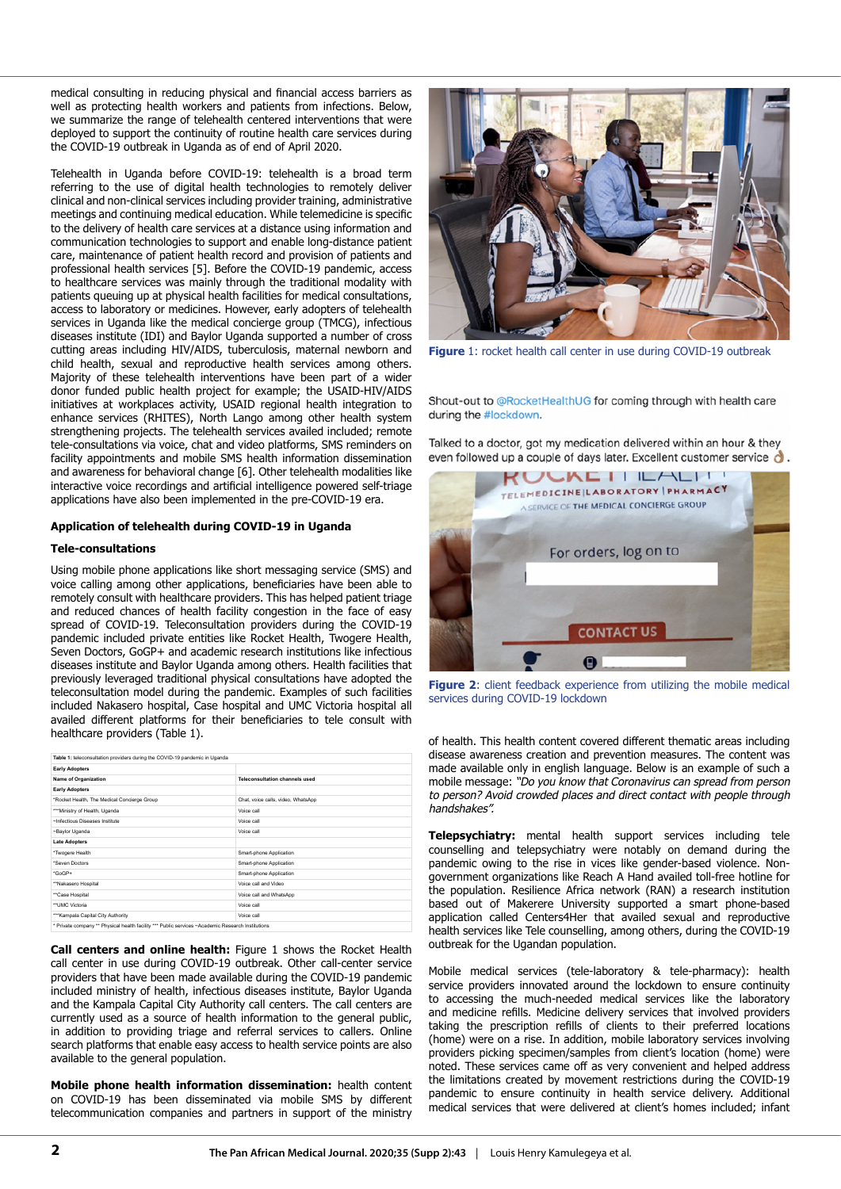medical consulting in reducing physical and financial access barriers as well as protecting health workers and patients from infections. Below, we summarize the range of telehealth centered interventions that were deployed to support the continuity of routine health care services during the COVID-19 outbreak in Uganda as of end of April 2020.

Telehealth in Uganda before COVID-19: telehealth is a broad term referring to the use of digital health technologies to remotely deliver clinical and non-clinical services including provider training, administrative meetings and continuing medical education. While telemedicine is specific to the delivery of health care services at a distance using information and communication technologies to support and enable long-distance patient care, maintenance of patient health record and provision of patients and professional health services [5]. Before the COVID-19 pandemic, access to healthcare services was mainly through the traditional modality with patients queuing up at physical health facilities for medical consultations, access to laboratory or medicines. However, early adopters of telehealth services in Uganda like the medical concierge group (TMCG), infectious diseases institute (IDI) and Baylor Uganda supported a number of cross cutting areas including HIV/AIDS, tuberculosis, maternal newborn and child health, sexual and reproductive health services among others. Majority of these telehealth interventions have been part of a wider donor funded public health project for example; the USAID-HIV/AIDS initiatives at workplaces activity, USAID regional health integration to enhance services (RHITES), North Lango among other health system strengthening projects. The telehealth services availed included; remote tele-consultations via voice, chat and video platforms, SMS reminders on facility appointments and mobile SMS health information dissemination and awareness for behavioral change [6]. Other telehealth modalities like interactive voice recordings and artificial intelligence powered self-triage applications have also been implemented in the pre-COVID-19 era.

#### **Application of telehealth during COVID-19 in Uganda**

#### **Tele-consultations**

Using mobile phone applications like short messaging service (SMS) and voice calling among other applications, beneficiaries have been able to remotely consult with healthcare providers. This has helped patient triage and reduced chances of health facility congestion in the face of easy spread of COVID-19. Teleconsultation providers during the COVID-19 pandemic included private entities like Rocket Health, Twogere Health, Seven Doctors, GoGP+ and academic research institutions like infectious diseases institute and Baylor Uganda among others. Health facilities that previously leveraged traditional physical consultations have adopted the teleconsultation model during the pandemic. Examples of such facilities included Nakasero hospital, Case hospital and UMC Victoria hospital all availed different platforms for their beneficiaries to tele consult with healthcare providers (Table 1).

| Table 1: teleconsultation providers during the COVID-19 pandemic in Uganda                        |                                    |
|---------------------------------------------------------------------------------------------------|------------------------------------|
| <b>Early Adopters</b>                                                                             |                                    |
| Name of Organization                                                                              | Teleconsultation channels used     |
| <b>Early Adopters</b>                                                                             |                                    |
| *Rocket Health, The Medical Concierge Group                                                       | Chat, voice calls, video, WhatsApp |
| *** Ministry of Health, Uganda                                                                    | Voice call                         |
| ~Infectious Diseases Institute                                                                    | Voice call                         |
| ~Baylor Uganda                                                                                    | Voice call                         |
| <b>Late Adopters</b>                                                                              |                                    |
| *Twogere Health                                                                                   | Smart-phone Application            |
| *Seven Doctors                                                                                    | Smart-phone Application            |
| *GoGP+                                                                                            | Smart-phone Application            |
| **Nakasero Hospital                                                                               | Voice call and Video               |
| **Case Hospital                                                                                   | Voice call and WhatsApp            |
| ** UMC Victoria                                                                                   | Voice call                         |
| *** Kampala Capital City Authority                                                                | Voice call                         |
| * Private company ** Physical health facility *** Public services ~Academic Research Institutions |                                    |

**Call centers and online health:** Figure 1 shows the Rocket Health call center in use during COVID-19 outbreak. Other call-center service providers that have been made available during the COVID-19 pandemic included ministry of health, infectious diseases institute, Baylor Uganda and the Kampala Capital City Authority call centers. The call centers are currently used as a source of health information to the general public, in addition to providing triage and referral services to callers. Online search platforms that enable easy access to health service points are also available to the general population.

**Mobile phone health information dissemination:** health content on COVID-19 has been disseminated via mobile SMS by different telecommunication companies and partners in support of the ministry



**Figure** 1: rocket health call center in use during COVID-19 outbreak

Shout-out to @RocketHealthUG for coming through with health care during the #lockdown.

Talked to a doctor, got my medication delivered within an hour & they even followed up a couple of days later. Excellent customer service  $\bigcirc$ .



Figure 2: client feedback experience from utilizing the mobile medical services during COVID-19 lockdown

of health. This health content covered different thematic areas including disease awareness creation and prevention measures. The content was made available only in english language. Below is an example of such a mobile message: *"Do you know that Coronavirus can spread from person to person? Avoid crowded places and direct contact with people through handshakes".*

**Telepsychiatry:** mental health support services including tele counselling and telepsychiatry were notably on demand during the pandemic owing to the rise in vices like gender-based violence. Nongovernment organizations like Reach A Hand availed toll-free hotline for the population. Resilience Africa network (RAN) a research institution based out of Makerere University supported a smart phone-based application called Centers4Her that availed sexual and reproductive health services like Tele counselling, among others, during the COVID-19 outbreak for the Ugandan population.

Mobile medical services (tele-laboratory & tele-pharmacy): health service providers innovated around the lockdown to ensure continuity to accessing the much-needed medical services like the laboratory and medicine refills. Medicine delivery services that involved providers taking the prescription refills of clients to their preferred locations (home) were on a rise. In addition, mobile laboratory services involving providers picking specimen/samples from client's location (home) were noted. These services came off as very convenient and helped address the limitations created by movement restrictions during the COVID-19 pandemic to ensure continuity in health service delivery. Additional medical services that were delivered at client's homes included; infant